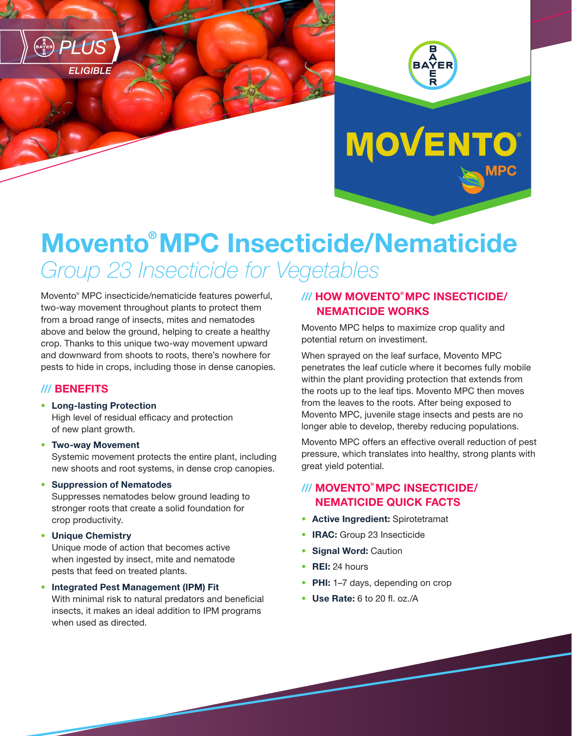





# Movento® MPC Insecticide/Nematicide *Group 23 Insecticide for Vegetables*

Movento® MPC insecticide/nematicide features powerful, two-way movement throughout plants to protect them from a broad range of insects, mites and nematodes above and below the ground, helping to create a healthy crop. Thanks to this unique two-way movement upward and downward from shoots to roots, there's nowhere for pests to hide in crops, including those in dense canopies.

### /// BENEFITS

• Long-lasting Protection

High level of residual efficacy and protection of new plant growth.

• Two-way Movement Systemic movement protects the entire plant, including new shoots and root systems, in dense crop canopies.

#### • Suppression of Nematodes

Suppresses nematodes below ground leading to stronger roots that create a solid foundation for crop productivity.

• Unique Chemistry

Unique mode of action that becomes active when ingested by insect, mite and nematode pests that feed on treated plants.

• Integrated Pest Management (IPM) Fit

With minimal risk to natural predators and beneficial insects, it makes an ideal addition to IPM programs when used as directed.

### /// HOW MOVENTO® MPC INSECTICIDE/ NEMATICIDE WORKS

Movento MPC helps to maximize crop quality and potential return on investiment.

When sprayed on the leaf surface, Movento MPC penetrates the leaf cuticle where it becomes fully mobile within the plant providing protection that extends from the roots up to the leaf tips. Movento MPC then moves from the leaves to the roots. After being exposed to Movento MPC, juvenile stage insects and pests are no longer able to develop, thereby reducing populations.

Movento MPC offers an effective overall reduction of pest pressure, which translates into healthy, strong plants with great yield potential.

## /// MOVENTO® MPC INSECTICIDE/ NEMATICIDE QUICK FACTS

- Active Ingredient: Spirotetramat
- IRAC: Group 23 Insecticide
- **Signal Word: Caution**
- **REI: 24 hours**
- PHI: 1-7 days, depending on crop
- Use Rate: 6 to 20 fl. oz./A